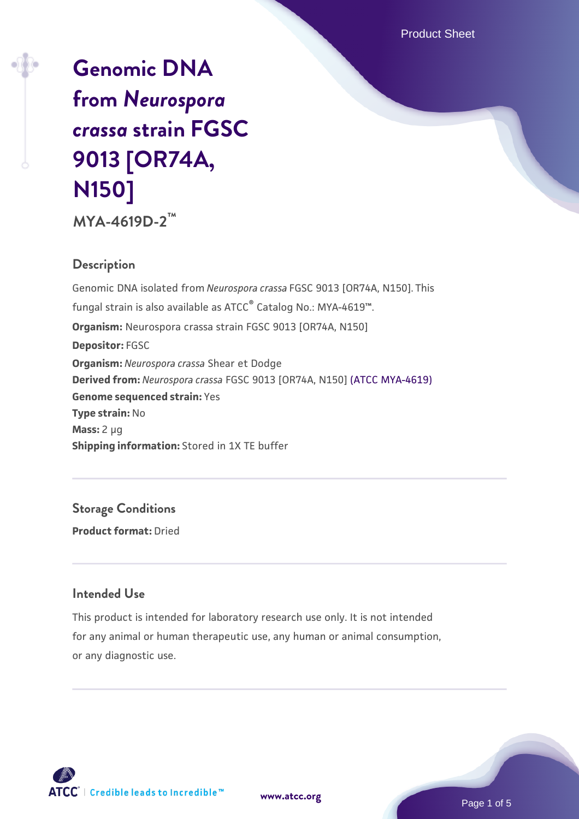Product Sheet

# **[Genomic DNA](https://www.atcc.org/products/mya-4619d-2) [from](https://www.atcc.org/products/mya-4619d-2)** *[Neurospora](https://www.atcc.org/products/mya-4619d-2) [crassa](https://www.atcc.org/products/mya-4619d-2)* **[strain FGSC](https://www.atcc.org/products/mya-4619d-2) [9013 \[OR74A,](https://www.atcc.org/products/mya-4619d-2) [N150\]](https://www.atcc.org/products/mya-4619d-2)**

**MYA-4619D-2™**

## **Description**

Genomic DNA isolated from *Neurospora crassa* FGSC 9013 [OR74A, N150]. This fungal strain is also available as ATCC® Catalog No.: MYA-4619™. **Organism:** Neurospora crassa strain FGSC 9013 [OR74A, N150] **Depositor:** FGSC **Organism:** *Neurospora crassa* Shear et Dodge **Derived from:** *Neurospora crassa* FGSC 9013 [OR74A, N150] [\(ATCC MYA-4619\)](https://www.atcc.org/products/mya-4619) **Genome sequenced strain:** Yes **Type strain:** No **Mass:** 2 µg **Shipping information:** Stored in 1X TE buffer

**Storage Conditions Product format:** Dried

## **Intended Use**

This product is intended for laboratory research use only. It is not intended for any animal or human therapeutic use, any human or animal consumption, or any diagnostic use.



**[www.atcc.org](http://www.atcc.org)**

Page 1 of 5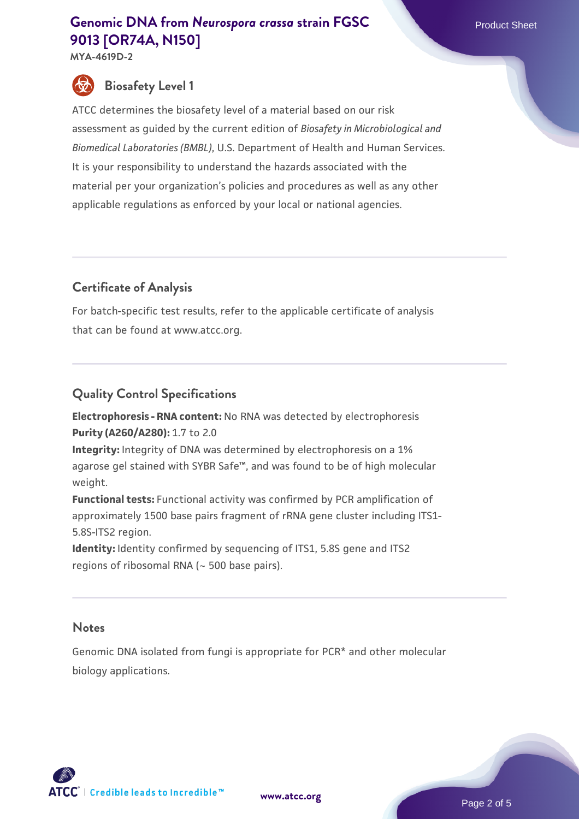# **[Genomic DNA from](https://www.atcc.org/products/mya-4619d-2)** *Neurospora* crassa [strain FGSC](https://www.atcc.org/products/mya-4619d-2) Product Sheet **[9013 \[OR74A, N150\]](https://www.atcc.org/products/mya-4619d-2)**

**MYA-4619D-2**



# **Biosafety Level 1**

ATCC determines the biosafety level of a material based on our risk assessment as guided by the current edition of *Biosafety in Microbiological and Biomedical Laboratories (BMBL)*, U.S. Department of Health and Human Services. It is your responsibility to understand the hazards associated with the material per your organization's policies and procedures as well as any other applicable regulations as enforced by your local or national agencies.

# **Certificate of Analysis**

For batch-specific test results, refer to the applicable certificate of analysis that can be found at www.atcc.org.

# **Quality Control Specifications**

**Electrophoresis - RNA content:** No RNA was detected by electrophoresis **Purity (A260/A280):** 1.7 to 2.0

**Integrity:** Integrity of DNA was determined by electrophoresis on a 1% agarose gel stained with SYBR Safe™, and was found to be of high molecular weight.

**Functional tests:** Functional activity was confirmed by PCR amplification of approximately 1500 base pairs fragment of rRNA gene cluster including ITS1- 5.8S-ITS2 region.

**Identity:** Identity confirmed by sequencing of ITS1, 5.8S gene and ITS2 regions of ribosomal RNA (~ 500 base pairs).

### **Notes**

Genomic DNA isolated from fungi is appropriate for PCR\* and other molecular biology applications.



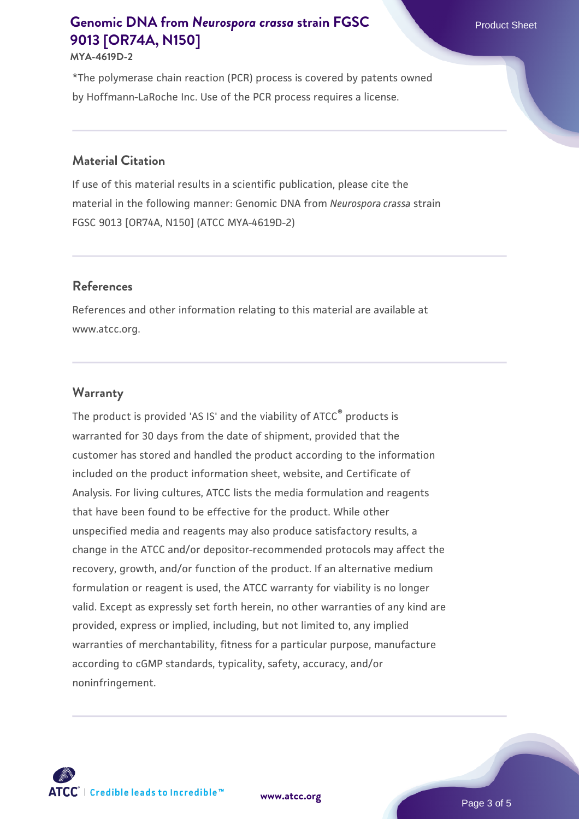# **[Genomic DNA from](https://www.atcc.org/products/mya-4619d-2)** *Neurospora* crassa [strain FGSC](https://www.atcc.org/products/mya-4619d-2) Product Sheet **[9013 \[OR74A, N150\]](https://www.atcc.org/products/mya-4619d-2)**

#### **MYA-4619D-2**

\*The polymerase chain reaction (PCR) process is covered by patents owned by Hoffmann-LaRoche Inc. Use of the PCR process requires a license.

#### **Material Citation**

If use of this material results in a scientific publication, please cite the material in the following manner: Genomic DNA from *Neurospora crassa* strain FGSC 9013 [OR74A, N150] (ATCC MYA-4619D-2)

#### **References**

References and other information relating to this material are available at www.atcc.org.

#### **Warranty**

The product is provided 'AS IS' and the viability of ATCC<sup>®</sup> products is warranted for 30 days from the date of shipment, provided that the customer has stored and handled the product according to the information included on the product information sheet, website, and Certificate of Analysis. For living cultures, ATCC lists the media formulation and reagents that have been found to be effective for the product. While other unspecified media and reagents may also produce satisfactory results, a change in the ATCC and/or depositor-recommended protocols may affect the recovery, growth, and/or function of the product. If an alternative medium formulation or reagent is used, the ATCC warranty for viability is no longer valid. Except as expressly set forth herein, no other warranties of any kind are provided, express or implied, including, but not limited to, any implied warranties of merchantability, fitness for a particular purpose, manufacture according to cGMP standards, typicality, safety, accuracy, and/or noninfringement.



**[www.atcc.org](http://www.atcc.org)**

Page 3 of 5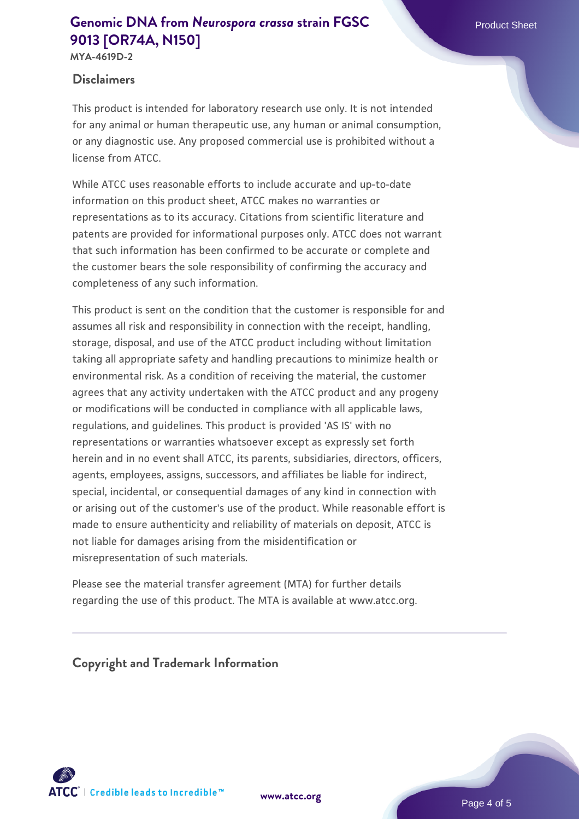# **[Genomic DNA from](https://www.atcc.org/products/mya-4619d-2)** *Neurospora* crassa [strain FGSC](https://www.atcc.org/products/mya-4619d-2) Product Sheet **[9013 \[OR74A, N150\]](https://www.atcc.org/products/mya-4619d-2)**

**MYA-4619D-2**

## **Disclaimers**

This product is intended for laboratory research use only. It is not intended for any animal or human therapeutic use, any human or animal consumption, or any diagnostic use. Any proposed commercial use is prohibited without a license from ATCC.

While ATCC uses reasonable efforts to include accurate and up-to-date information on this product sheet, ATCC makes no warranties or representations as to its accuracy. Citations from scientific literature and patents are provided for informational purposes only. ATCC does not warrant that such information has been confirmed to be accurate or complete and the customer bears the sole responsibility of confirming the accuracy and completeness of any such information.

This product is sent on the condition that the customer is responsible for and assumes all risk and responsibility in connection with the receipt, handling, storage, disposal, and use of the ATCC product including without limitation taking all appropriate safety and handling precautions to minimize health or environmental risk. As a condition of receiving the material, the customer agrees that any activity undertaken with the ATCC product and any progeny or modifications will be conducted in compliance with all applicable laws, regulations, and guidelines. This product is provided 'AS IS' with no representations or warranties whatsoever except as expressly set forth herein and in no event shall ATCC, its parents, subsidiaries, directors, officers, agents, employees, assigns, successors, and affiliates be liable for indirect, special, incidental, or consequential damages of any kind in connection with or arising out of the customer's use of the product. While reasonable effort is made to ensure authenticity and reliability of materials on deposit, ATCC is not liable for damages arising from the misidentification or misrepresentation of such materials.

Please see the material transfer agreement (MTA) for further details regarding the use of this product. The MTA is available at www.atcc.org.

**Copyright and Trademark Information**